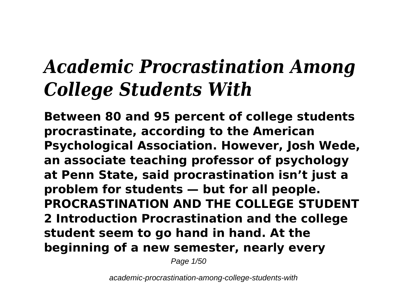# *Academic Procrastination Among College Students With*

**Between 80 and 95 percent of college students procrastinate, according to the American Psychological Association. However, Josh Wede, an associate teaching professor of psychology at Penn State, said procrastination isn't just a problem for students — but for all people. PROCRASTINATION AND THE COLLEGE STUDENT 2 Introduction Procrastination and the college student seem to go hand in hand. At the beginning of a new semester, nearly every**

Page 1/50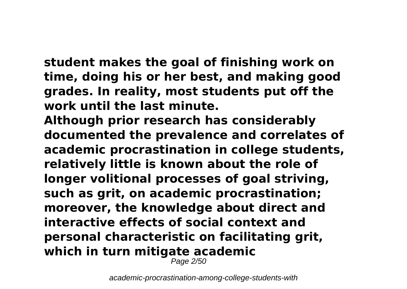**student makes the goal of finishing work on time, doing his or her best, and making good grades. In reality, most students put off the work until the last minute.**

**Although prior research has considerably documented the prevalence and correlates of academic procrastination in college students, relatively little is known about the role of longer volitional processes of goal striving, such as grit, on academic procrastination; moreover, the knowledge about direct and interactive effects of social context and personal characteristic on facilitating grit, which in turn mitigate academic**

Page 2/50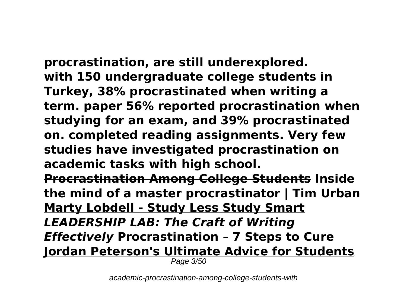**procrastination, are still underexplored. with 150 undergraduate college students in Turkey, 38% procrastinated when writing a term. paper 56% reported procrastination when studying for an exam, and 39% procrastinated on. completed reading assignments. Very few studies have investigated procrastination on academic tasks with high school. Procrastination Among College Students Inside**

**the mind of a master procrastinator | Tim Urban Marty Lobdell - Study Less Study Smart** *LEADERSHIP LAB: The Craft of Writing Effectively* **Procrastination – 7 Steps to Cure Jordan Peterson's Ultimate Advice for Students**

Page 3/50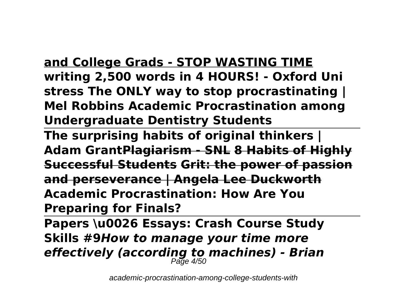## **and College Grads - STOP WASTING TIME writing 2,500 words in 4 HOURS! - Oxford Uni stress The ONLY way to stop procrastinating |**

**Mel Robbins Academic Procrastination among Undergraduate Dentistry Students** 

**The surprising habits of original thinkers | Adam GrantPlagiarism - SNL 8 Habits of Highly Successful Students Grit: the power of passion and perseverance | Angela Lee Duckworth Academic Procrastination: How Are You Preparing for Finals?**

**Papers \u0026 Essays: Crash Course Study Skills #9***How to manage your time more effectively (according to machines) - Brian* Page 4/50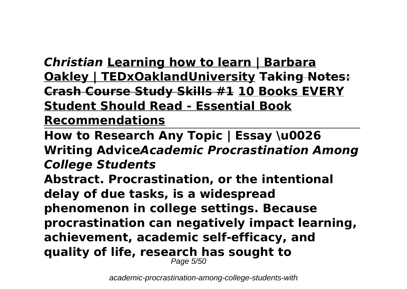*Christian* **Learning how to learn | Barbara Oakley | TEDxOaklandUniversity Taking Notes: Crash Course Study Skills #1 10 Books EVERY Student Should Read - Essential Book Recommendations**

**How to Research Any Topic | Essay \u0026 Writing Advice***Academic Procrastination Among College Students* **Abstract. Procrastination, or the intentional delay of due tasks, is a widespread phenomenon in college settings. Because procrastination can negatively impact learning, achievement, academic self-efficacy, and quality of life, research has sought to** Page 5/50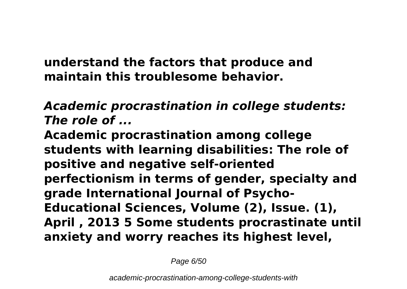**understand the factors that produce and maintain this troublesome behavior.**

*Academic procrastination in college students: The role of ...*

**Academic procrastination among college students with learning disabilities: The role of positive and negative self-oriented perfectionism in terms of gender, specialty and grade International Journal of Psycho-Educational Sciences, Volume (2), Issue. (1), April , 2013 5 Some students procrastinate until anxiety and worry reaches its highest level,**

Page 6/50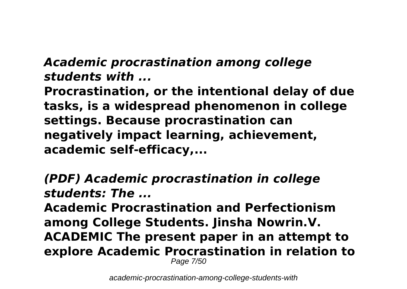## *Academic procrastination among college students with ...*

**Procrastination, or the intentional delay of due tasks, is a widespread phenomenon in college settings. Because procrastination can negatively impact learning, achievement, academic self-efficacy,...**

*(PDF) Academic procrastination in college students: The ...*

**Academic Procrastination and Perfectionism among College Students. Jinsha Nowrin.V. ACADEMIC The present paper in an attempt to explore Academic Procrastination in relation to** Page 7/50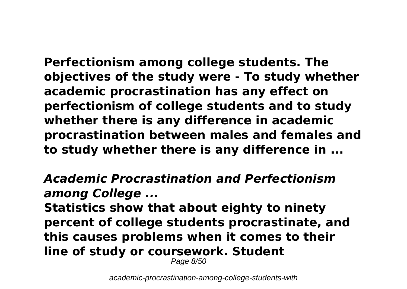**Perfectionism among college students. The objectives of the study were - To study whether academic procrastination has any effect on perfectionism of college students and to study whether there is any difference in academic procrastination between males and females and to study whether there is any difference in ...**

## *Academic Procrastination and Perfectionism among College ...*

**Statistics show that about eighty to ninety percent of college students procrastinate, and this causes problems when it comes to their line of study or coursework. Student**

Page 8/50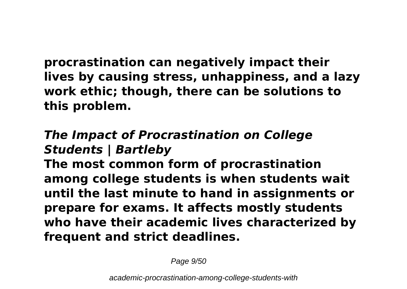**procrastination can negatively impact their lives by causing stress, unhappiness, and a lazy work ethic; though, there can be solutions to this problem.**

## *The Impact of Procrastination on College Students | Bartleby*

**The most common form of procrastination among college students is when students wait until the last minute to hand in assignments or prepare for exams. It affects mostly students who have their academic lives characterized by frequent and strict deadlines.**

Page  $9/50$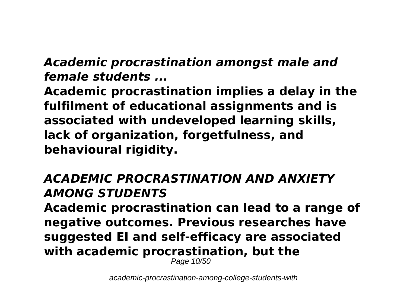## *Academic procrastination amongst male and female students ...*

**Academic procrastination implies a delay in the fulfilment of educational assignments and is associated with undeveloped learning skills, lack of organization, forgetfulness, and behavioural rigidity.**

## *ACADEMIC PROCRASTINATION AND ANXIETY AMONG STUDENTS*

**Academic procrastination can lead to a range of negative outcomes. Previous researches have suggested EI and self‐efficacy are associated with academic procrastination, but the**

Page 10/50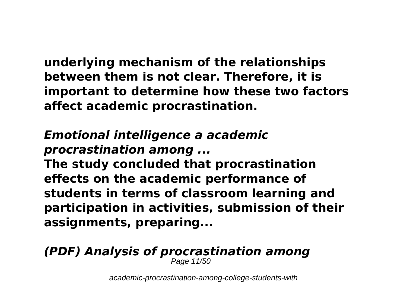**underlying mechanism of the relationships between them is not clear. Therefore, it is important to determine how these two factors affect academic procrastination.**

## *Emotional intelligence a academic procrastination among ...*

**The study concluded that procrastination effects on the academic performance of students in terms of classroom learning and participation in activities, submission of their assignments, preparing...**

## *(PDF) Analysis of procrastination among*

Page 11/50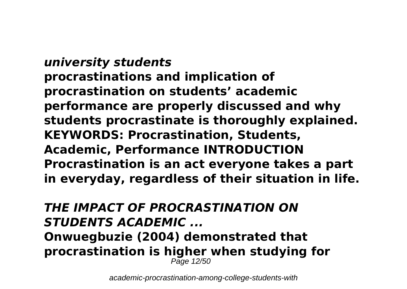*university students* **procrastinations and implication of procrastination on students' academic performance are properly discussed and why students procrastinate is thoroughly explained. KEYWORDS: Procrastination, Students, Academic, Performance INTRODUCTION Procrastination is an act everyone takes a part in everyday, regardless of their situation in life.**

#### *THE IMPACT OF PROCRASTINATION ON STUDENTS ACADEMIC ...* **Onwuegbuzie (2004) demonstrated that procrastination is higher when studying for** Page 12/50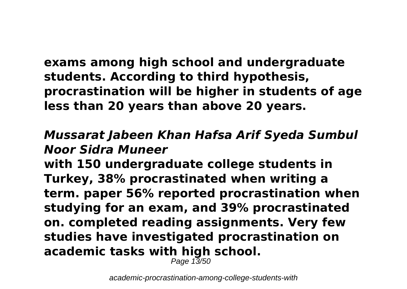**exams among high school and undergraduate students. According to third hypothesis, procrastination will be higher in students of age less than 20 years than above 20 years.**

## *Mussarat Jabeen Khan Hafsa Arif Syeda Sumbul Noor Sidra Muneer*

**with 150 undergraduate college students in Turkey, 38% procrastinated when writing a term. paper 56% reported procrastination when studying for an exam, and 39% procrastinated on. completed reading assignments. Very few studies have investigated procrastination on academic tasks with high school.**

Page 13/50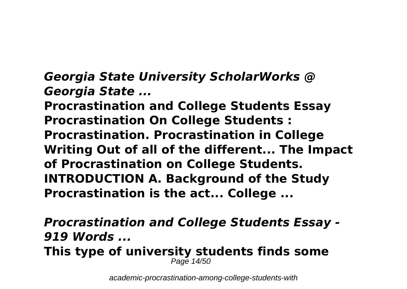*Georgia State University ScholarWorks @ Georgia State ...*

**Procrastination and College Students Essay Procrastination On College Students : Procrastination. Procrastination in College Writing Out of all of the different... The Impact of Procrastination on College Students. INTRODUCTION A. Background of the Study Procrastination is the act... College ...**

*Procrastination and College Students Essay - 919 Words ...* **This type of university students finds some** Page 14/50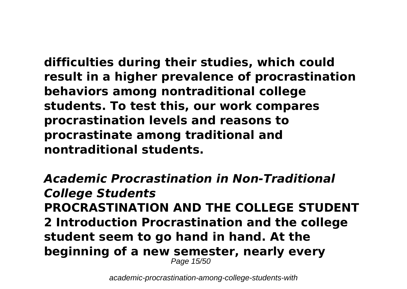**difficulties during their studies, which could result in a higher prevalence of procrastination behaviors among nontraditional college students. To test this, our work compares procrastination levels and reasons to procrastinate among traditional and nontraditional students.**

*Academic Procrastination in Non-Traditional College Students* **PROCRASTINATION AND THE COLLEGE STUDENT 2 Introduction Procrastination and the college student seem to go hand in hand. At the beginning of a new semester, nearly every** Page 15/50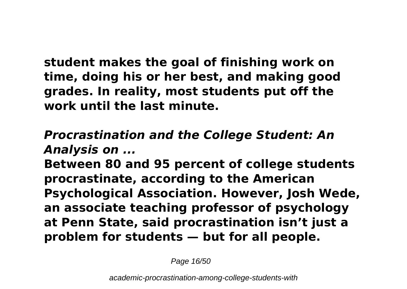**student makes the goal of finishing work on time, doing his or her best, and making good grades. In reality, most students put off the work until the last minute.**

## *Procrastination and the College Student: An Analysis on ...*

**Between 80 and 95 percent of college students procrastinate, according to the American Psychological Association. However, Josh Wede, an associate teaching professor of psychology at Penn State, said procrastination isn't just a problem for students — but for all people.**

Page 16/50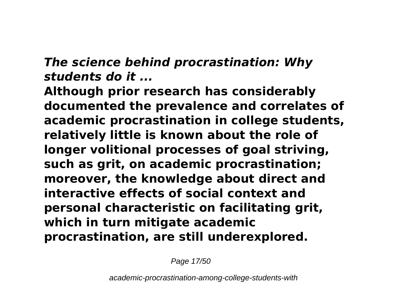## *The science behind procrastination: Why students do it ...*

**Although prior research has considerably documented the prevalence and correlates of academic procrastination in college students, relatively little is known about the role of longer volitional processes of goal striving, such as grit, on academic procrastination; moreover, the knowledge about direct and interactive effects of social context and personal characteristic on facilitating grit, which in turn mitigate academic procrastination, are still underexplored.**

Page 17/50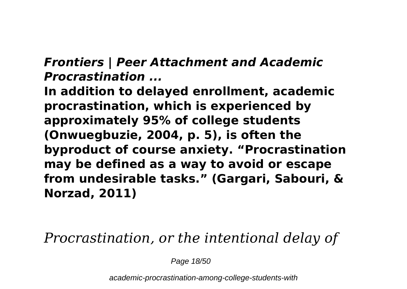## *Frontiers | Peer Attachment and Academic Procrastination ...*

**In addition to delayed enrollment, academic procrastination, which is experienced by approximately 95% of college students (Onwuegbuzie, 2004, p. 5), is often the byproduct of course anxiety. "Procrastination may be defined as a way to avoid or escape from undesirable tasks." (Gargari, Sabouri, & Norzad, 2011)**

*Procrastination, or the intentional delay of*

Page 18/50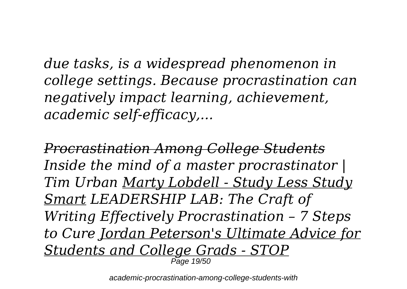*due tasks, is a widespread phenomenon in college settings. Because procrastination can negatively impact learning, achievement, academic self-efficacy,...*

*Procrastination Among College Students Inside the mind of a master procrastinator | Tim Urban Marty Lobdell - Study Less Study Smart LEADERSHIP LAB: The Craft of Writing Effectively Procrastination – 7 Steps to Cure Jordan Peterson's Ultimate Advice for Students and College Grads - STOP* Page 19/50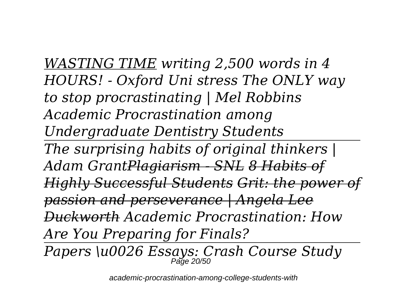*WASTING TIME writing 2,500 words in 4 HOURS! - Oxford Uni stress The ONLY way to stop procrastinating | Mel Robbins Academic Procrastination among Undergraduate Dentistry Students The surprising habits of original thinkers | Adam GrantPlagiarism - SNL 8 Habits of Highly Successful Students Grit: the power of passion and perseverance | Angela Lee Duckworth Academic Procrastination: How Are You Preparing for Finals? Papers \u0026 Essays: Crash Course Study* Page 20/50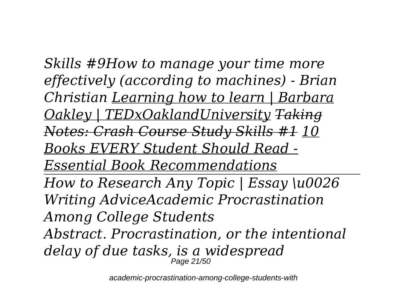*Skills #9How to manage your time more effectively (according to machines) - Brian Christian Learning how to learn | Barbara Oakley | TEDxOaklandUniversity Taking Notes: Crash Course Study Skills #1 10 Books EVERY Student Should Read - Essential Book Recommendations How to Research Any Topic | Essay \u0026 Writing AdviceAcademic Procrastination Among College Students Abstract. Procrastination, or the intentional delay of due tasks, is a widespread* Page 21/50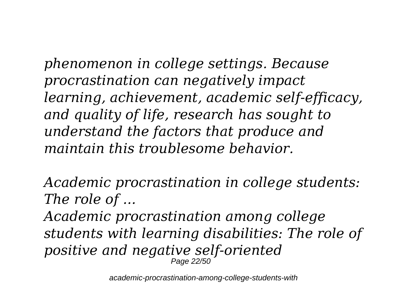*phenomenon in college settings. Because procrastination can negatively impact learning, achievement, academic self-efficacy, and quality of life, research has sought to understand the factors that produce and maintain this troublesome behavior.*

*Academic procrastination in college students: The role of ...*

*Academic procrastination among college students with learning disabilities: The role of positive and negative self-oriented* Page 22/50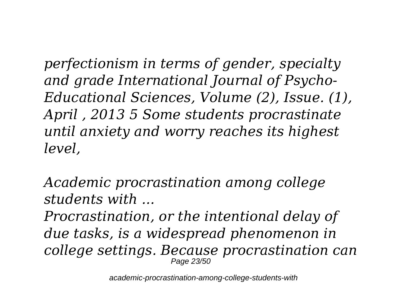*perfectionism in terms of gender, specialty and grade International Journal of Psycho-Educational Sciences, Volume (2), Issue. (1), April , 2013 5 Some students procrastinate until anxiety and worry reaches its highest level,*

*Academic procrastination among college students with ...*

*Procrastination, or the intentional delay of due tasks, is a widespread phenomenon in college settings. Because procrastination can* Page 23/50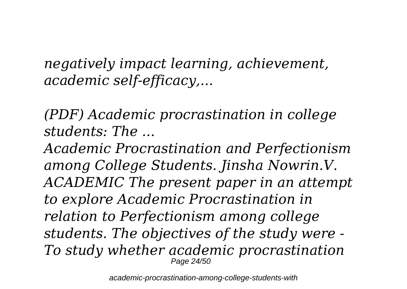*negatively impact learning, achievement, academic self-efficacy,...*

*(PDF) Academic procrastination in college students: The ...*

*Academic Procrastination and Perfectionism among College Students. Jinsha Nowrin.V. ACADEMIC The present paper in an attempt to explore Academic Procrastination in relation to Perfectionism among college students. The objectives of the study were - To study whether academic procrastination* Page 24/50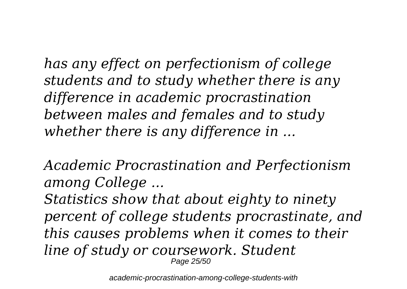*has any effect on perfectionism of college students and to study whether there is any difference in academic procrastination between males and females and to study whether there is any difference in ...*

*Academic Procrastination and Perfectionism among College ...*

*Statistics show that about eighty to ninety percent of college students procrastinate, and this causes problems when it comes to their line of study or coursework. Student* Page 25/50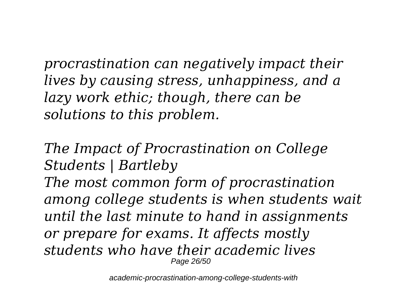*procrastination can negatively impact their lives by causing stress, unhappiness, and a lazy work ethic; though, there can be solutions to this problem.*

*The Impact of Procrastination on College Students | Bartleby The most common form of procrastination among college students is when students wait until the last minute to hand in assignments or prepare for exams. It affects mostly students who have their academic lives* Page 26/50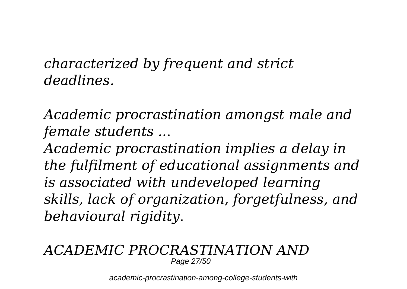*characterized by frequent and strict deadlines.*

*Academic procrastination amongst male and female students ...*

*Academic procrastination implies a delay in the fulfilment of educational assignments and is associated with undeveloped learning skills, lack of organization, forgetfulness, and behavioural rigidity.*

#### *ACADEMIC PROCRASTINATION AND* Page 27/50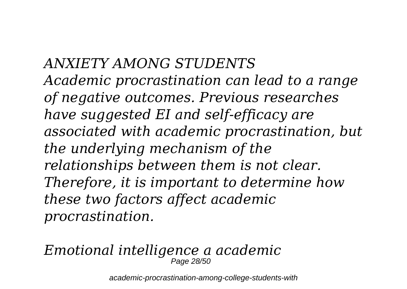*ANXIETY AMONG STUDENTS Academic procrastination can lead to a range of negative outcomes. Previous researches have suggested EI and self‐efficacy are associated with academic procrastination, but the underlying mechanism of the relationships between them is not clear. Therefore, it is important to determine how these two factors affect academic procrastination.*

#### *Emotional intelligence a academic* Page 28/50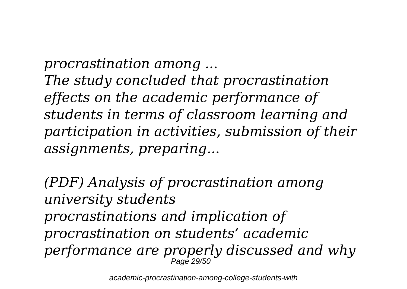*procrastination among ... The study concluded that procrastination effects on the academic performance of students in terms of classroom learning and participation in activities, submission of their assignments, preparing...*

*(PDF) Analysis of procrastination among university students procrastinations and implication of procrastination on students' academic performance are properly discussed and why* Page 29/50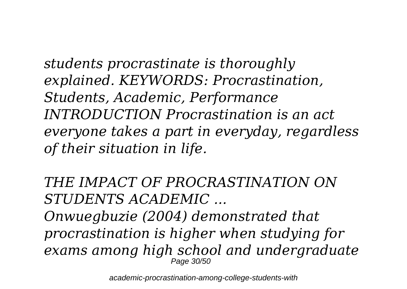*students procrastinate is thoroughly explained. KEYWORDS: Procrastination, Students, Academic, Performance INTRODUCTION Procrastination is an act everyone takes a part in everyday, regardless of their situation in life.*

*THE IMPACT OF PROCRASTINATION ON STUDENTS ACADEMIC ...*

*Onwuegbuzie (2004) demonstrated that procrastination is higher when studying for exams among high school and undergraduate* Page 30/50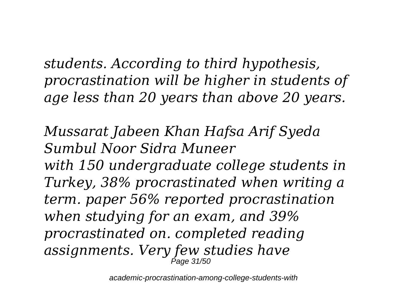*students. According to third hypothesis, procrastination will be higher in students of age less than 20 years than above 20 years.*

*Mussarat Jabeen Khan Hafsa Arif Syeda Sumbul Noor Sidra Muneer*

*with 150 undergraduate college students in Turkey, 38% procrastinated when writing a term. paper 56% reported procrastination when studying for an exam, and 39% procrastinated on. completed reading assignments. Very few studies have* Page 31/50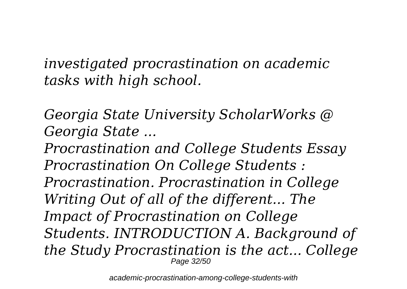*investigated procrastination on academic tasks with high school.*

*Georgia State University ScholarWorks @ Georgia State ...*

*Procrastination and College Students Essay Procrastination On College Students : Procrastination. Procrastination in College Writing Out of all of the different... The Impact of Procrastination on College Students. INTRODUCTION A. Background of the Study Procrastination is the act... College* Page 32/50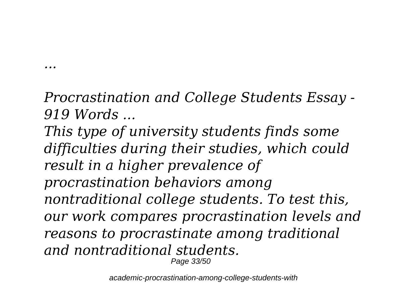*Procrastination and College Students Essay - 919 Words ...*

*...*

*This type of university students finds some difficulties during their studies, which could result in a higher prevalence of procrastination behaviors among nontraditional college students. To test this, our work compares procrastination levels and reasons to procrastinate among traditional and nontraditional students.* Page 33/50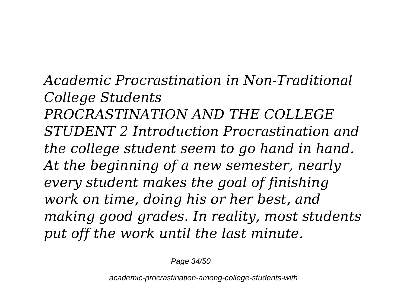*Academic Procrastination in Non-Traditional College Students PROCRASTINATION AND THE COLLEGE STUDENT 2 Introduction Procrastination and the college student seem to go hand in hand. At the beginning of a new semester, nearly every student makes the goal of finishing work on time, doing his or her best, and making good grades. In reality, most students put off the work until the last minute.*

Page 34/50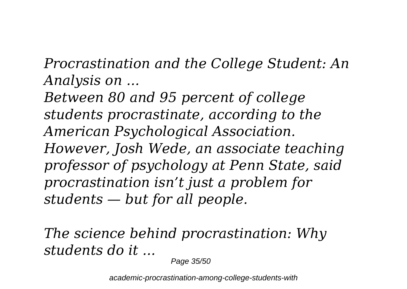*Procrastination and the College Student: An Analysis on ...*

*Between 80 and 95 percent of college students procrastinate, according to the American Psychological Association. However, Josh Wede, an associate teaching professor of psychology at Penn State, said procrastination isn't just a problem for students — but for all people.*

*The science behind procrastination: Why students do it ...*

Page 35/50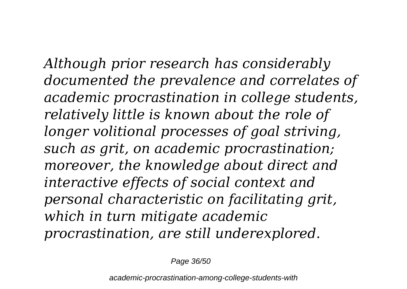*Although prior research has considerably documented the prevalence and correlates of academic procrastination in college students, relatively little is known about the role of longer volitional processes of goal striving, such as grit, on academic procrastination; moreover, the knowledge about direct and interactive effects of social context and personal characteristic on facilitating grit, which in turn mitigate academic procrastination, are still underexplored.*

Page 36/50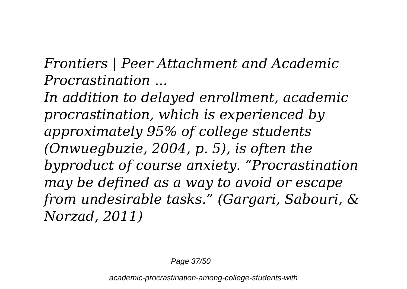*Frontiers | Peer Attachment and Academic Procrastination ...*

*In addition to delayed enrollment, academic procrastination, which is experienced by approximately 95% of college students (Onwuegbuzie, 2004, p. 5), is often the byproduct of course anxiety. "Procrastination may be defined as a way to avoid or escape from undesirable tasks." (Gargari, Sabouri, & Norzad, 2011)*

Page 37/50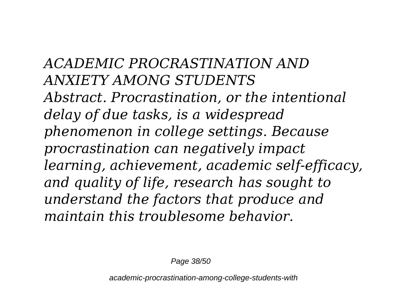*ACADEMIC PROCRASTINATION AND ANXIETY AMONG STUDENTS Abstract. Procrastination, or the intentional delay of due tasks, is a widespread phenomenon in college settings. Because procrastination can negatively impact learning, achievement, academic self-efficacy, and quality of life, research has sought to understand the factors that produce and maintain this troublesome behavior.*

Page 38/50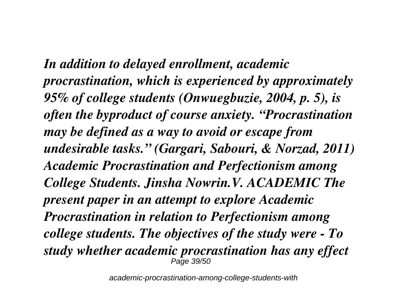*In addition to delayed enrollment, academic procrastination, which is experienced by approximately 95% of college students (Onwuegbuzie, 2004, p. 5), is often the byproduct of course anxiety. "Procrastination may be defined as a way to avoid or escape from undesirable tasks." (Gargari, Sabouri, & Norzad, 2011) Academic Procrastination and Perfectionism among College Students. Jinsha Nowrin.V. ACADEMIC The present paper in an attempt to explore Academic Procrastination in relation to Perfectionism among college students. The objectives of the study were - To study whether academic procrastination has any effect* Page 39/50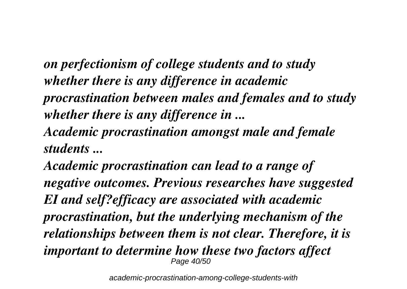*on perfectionism of college students and to study whether there is any difference in academic procrastination between males and females and to study whether there is any difference in ... Academic procrastination amongst male and female students ...*

*Academic procrastination can lead to a range of negative outcomes. Previous researches have suggested EI and self?efficacy are associated with academic procrastination, but the underlying mechanism of the relationships between them is not clear. Therefore, it is important to determine how these two factors affect* Page 40/50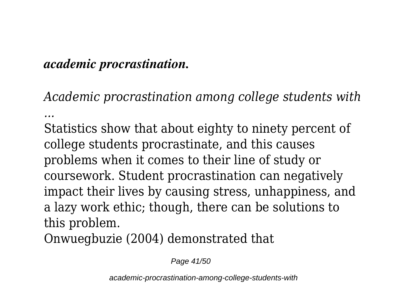## *academic procrastination.*

*Academic procrastination among college students with ...*

Statistics show that about eighty to ninety percent of college students procrastinate, and this causes problems when it comes to their line of study or coursework. Student procrastination can negatively impact their lives by causing stress, unhappiness, and a lazy work ethic; though, there can be solutions to this problem.

Onwuegbuzie (2004) demonstrated that

Page 41/50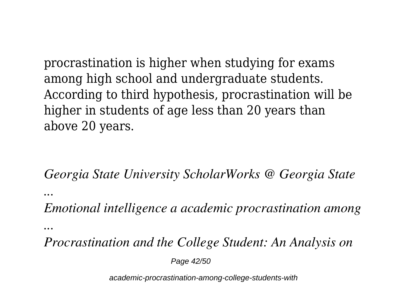procrastination is higher when studying for exams among high school and undergraduate students. According to third hypothesis, procrastination will be higher in students of age less than 20 years than above 20 years.

*Georgia State University ScholarWorks @ Georgia State*

*...*

*Emotional intelligence a academic procrastination among*

*...*

*Procrastination and the College Student: An Analysis on*

Page 42/50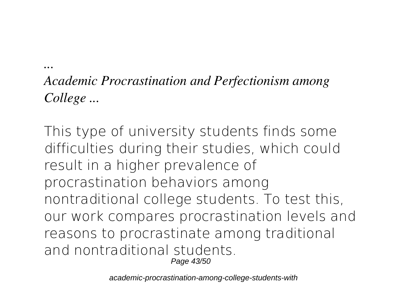*Academic Procrastination and Perfectionism among College ...*

*...*

This type of university students finds some difficulties during their studies, which could result in a higher prevalence of procrastination behaviors among nontraditional college students. To test this, our work compares procrastination levels and reasons to procrastinate among traditional and nontraditional students. Page 43/50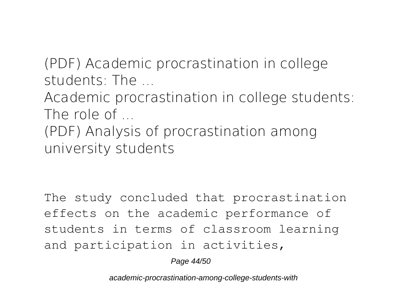*(PDF) Academic procrastination in college students: The ...*

*Academic procrastination in college students: The role of ...*

*(PDF) Analysis of procrastination among university students*

The study concluded that procrastination effects on the academic performance of students in terms of classroom learning and participation in activities,

Page 44/50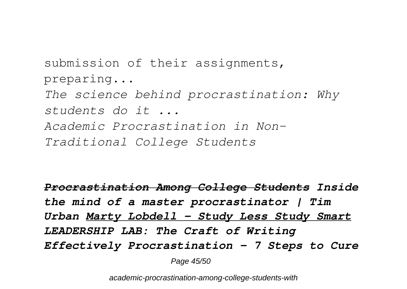submission of their assignments, preparing... *The science behind procrastination: Why students do it ... Academic Procrastination in Non-Traditional College Students*

*Procrastination Among College Students Inside the mind of a master procrastinator | Tim Urban Marty Lobdell - Study Less Study Smart LEADERSHIP LAB: The Craft of Writing Effectively Procrastination – 7 Steps to Cure*

Page 45/50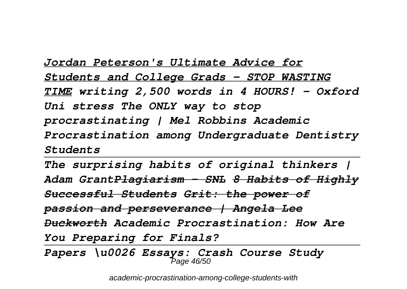*Jordan Peterson's Ultimate Advice for Students and College Grads - STOP WASTING TIME writing 2,500 words in 4 HOURS! - Oxford Uni stress The ONLY way to stop procrastinating | Mel Robbins Academic Procrastination among Undergraduate Dentistry Students* 

*The surprising habits of original thinkers | Adam GrantPlagiarism - SNL 8 Habits of Highly Successful Students Grit: the power of passion and perseverance | Angela Lee Duckworth Academic Procrastination: How Are You Preparing for Finals?*

*Papers \u0026 Essays: Crash Course Study* Page 46/50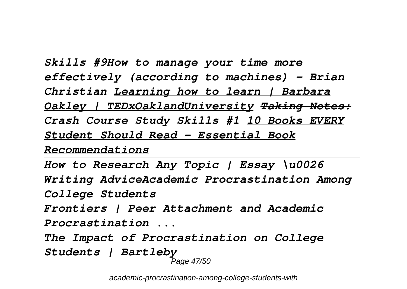*Skills #9How to manage your time more effectively (according to machines) - Brian Christian Learning how to learn | Barbara Oakley | TEDxOaklandUniversity Taking Notes: Crash Course Study Skills #1 10 Books EVERY Student Should Read - Essential Book Recommendations*

```
How to Research Any Topic | Essay \u0026
Writing AdviceAcademic Procrastination Among
College Students
Frontiers | Peer Attachment and Academic
Procrastination ...
The Impact of Procrastination on College
Students | Bartleby
                   Page 47/50
```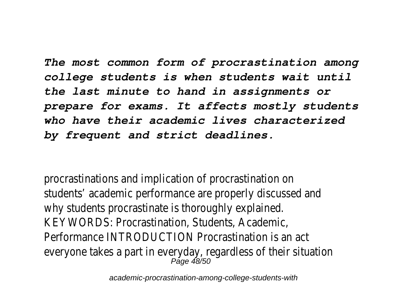*The most common form of procrastination among college students is when students wait until the last minute to hand in assignments or prepare for exams. It affects mostly students who have their academic lives characterized by frequent and strict deadlines.*

procrastinations and implication of procrastination on students' academic performance are properly discussed and why students procrastinate is thoroughly explained. KEYWORDS: Procrastination, Students, Academic, Performance INTRODUCTION Procrastination is an act everyone takes a part in everyday, regardless of their situation Page 48/50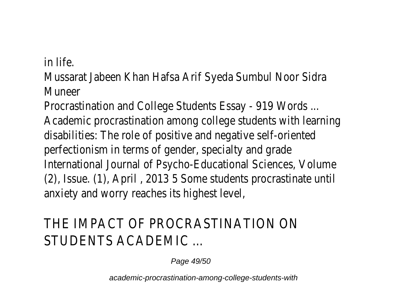in life.

Mussarat Jabeen Khan Hafsa Arif Syeda Sumbul Noor Sidra Muneer

Procrastination and College Students Essay - 919 Words ... Academic procrastination among college students with learning disabilities: The role of positive and negative self-oriented perfectionism in terms of gender, specialty and grade International Journal of Psycho-Educational Sciences, Volume (2), Issue. (1), April , 2013 5 Some students procrastinate until anxiety and worry reaches its highest level,

## THE IMPACT OF PROCRASTINATION ON STUDENTS ACADEMIC ...

Page 49/50